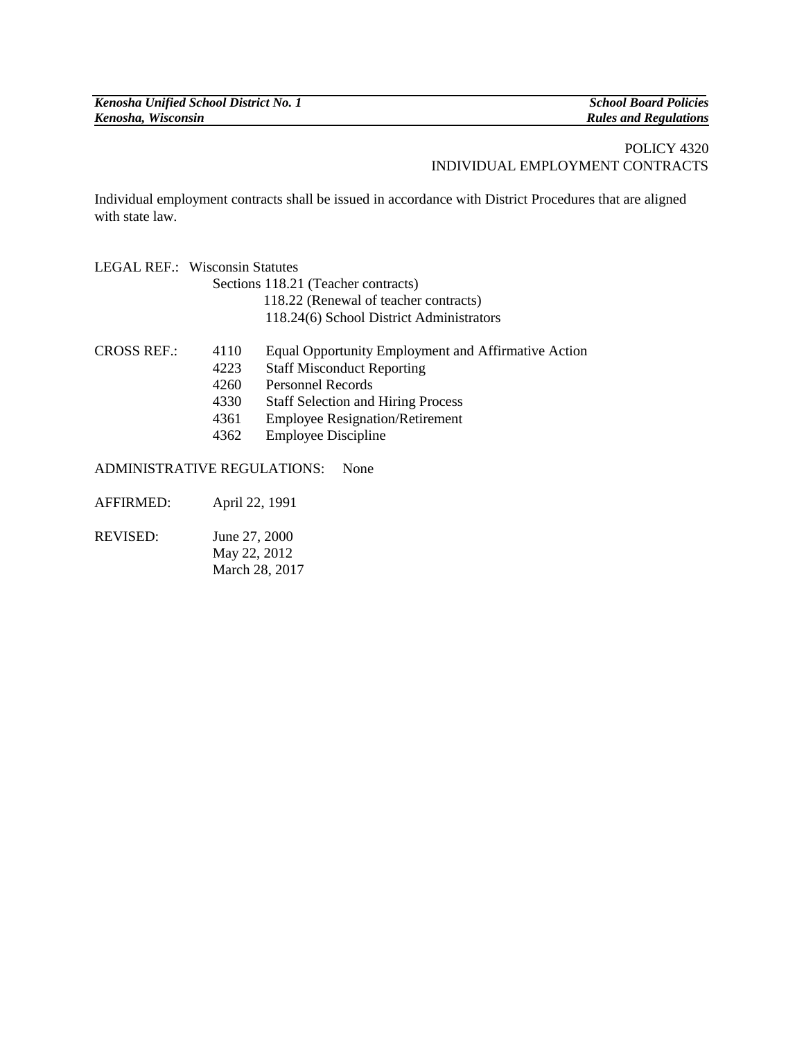## POLICY 4320 INDIVIDUAL EMPLOYMENT CONTRACTS

Individual employment contracts shall be issued in accordance with District Procedures that are aligned with state law.

|                    | <b>LEGAL REF.: Wisconsin Statutes</b> |                                                     |
|--------------------|---------------------------------------|-----------------------------------------------------|
|                    | Sections 118.21 (Teacher contracts)   |                                                     |
|                    |                                       | 118.22 (Renewal of teacher contracts)               |
|                    |                                       | 118.24(6) School District Administrators            |
| <b>CROSS REF.:</b> | 4110                                  | Equal Opportunity Employment and Affirmative Action |
|                    | 4223                                  | <b>Staff Misconduct Reporting</b>                   |
|                    | 4260                                  | <b>Personnel Records</b>                            |
|                    | 4330                                  | <b>Staff Selection and Hiring Process</b>           |
|                    | 4361                                  | <b>Employee Resignation/Retirement</b>              |
|                    | 4362                                  | <b>Employee Discipline</b>                          |
|                    |                                       |                                                     |

ADMINISTRATIVE REGULATIONS: None

AFFIRMED: April 22, 1991

REVISED: June 27, 2000 May 22, 2012 March 28, 2017